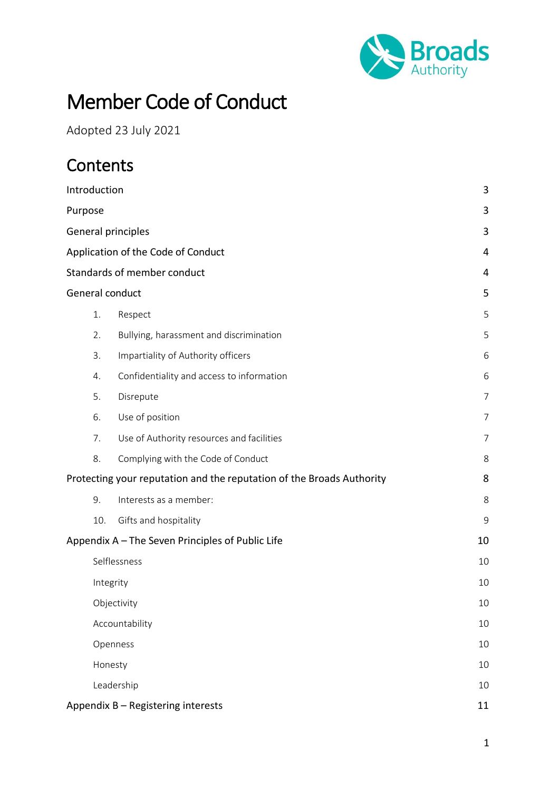

# Member Code of Conduct

Adopted 23 July 2021

## **Contents**

| Introduction                                                               | 3              |                                           |                |  |
|----------------------------------------------------------------------------|----------------|-------------------------------------------|----------------|--|
| Purpose                                                                    | 3              |                                           |                |  |
| General principles                                                         | 3              |                                           |                |  |
| Application of the Code of Conduct                                         | 4              |                                           |                |  |
| Standards of member conduct                                                | 4              |                                           |                |  |
|                                                                            |                | General conduct                           | 5              |  |
|                                                                            | 1.             | Respect                                   | 5              |  |
|                                                                            | 2.             | Bullying, harassment and discrimination   | 5              |  |
|                                                                            | 3.             | Impartiality of Authority officers        | 6              |  |
|                                                                            | 4.             | Confidentiality and access to information | 6              |  |
|                                                                            | 5.             | Disrepute                                 | $\overline{7}$ |  |
|                                                                            | 6.             | Use of position                           | $\overline{7}$ |  |
|                                                                            | 7.             | Use of Authority resources and facilities | $\overline{7}$ |  |
|                                                                            | 8.             | Complying with the Code of Conduct        | 8              |  |
| Protecting your reputation and the reputation of the Broads Authority<br>8 |                |                                           |                |  |
|                                                                            | 9.             | Interests as a member:                    | 8              |  |
|                                                                            | 10.            | Gifts and hospitality                     | 9              |  |
| Appendix A - The Seven Principles of Public Life<br>10                     |                |                                           |                |  |
|                                                                            | Selflessness   |                                           |                |  |
|                                                                            | Integrity      |                                           |                |  |
|                                                                            | Objectivity    |                                           |                |  |
|                                                                            | Accountability |                                           |                |  |
|                                                                            | Openness       |                                           |                |  |
|                                                                            | 10             |                                           |                |  |
|                                                                            |                | Leadership                                | 10             |  |
| Appendix B - Registering interests                                         | 11             |                                           |                |  |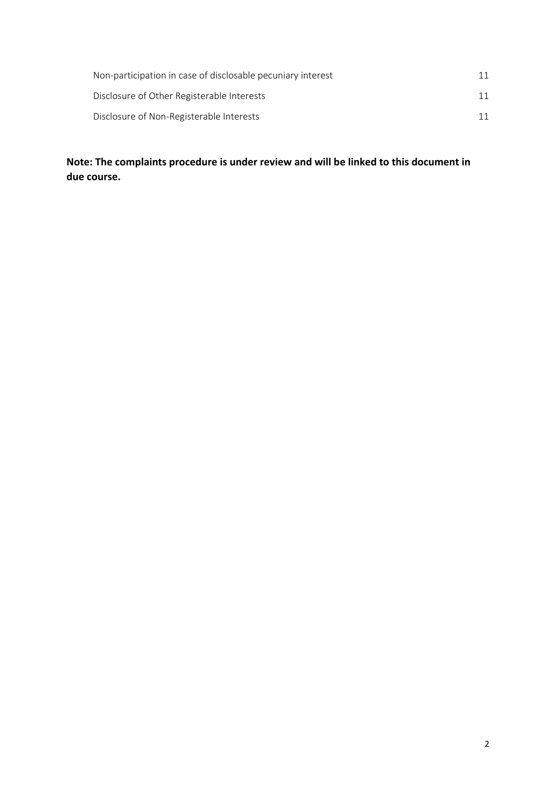| Non-participation in case of disclosable pecuniary interest |  |
|-------------------------------------------------------------|--|
| Disclosure of Other Registerable Interests                  |  |
| Disclosure of Non-Registerable Interests                    |  |

**Note: The complaints procedure is under review and will be linked to this document in due course.**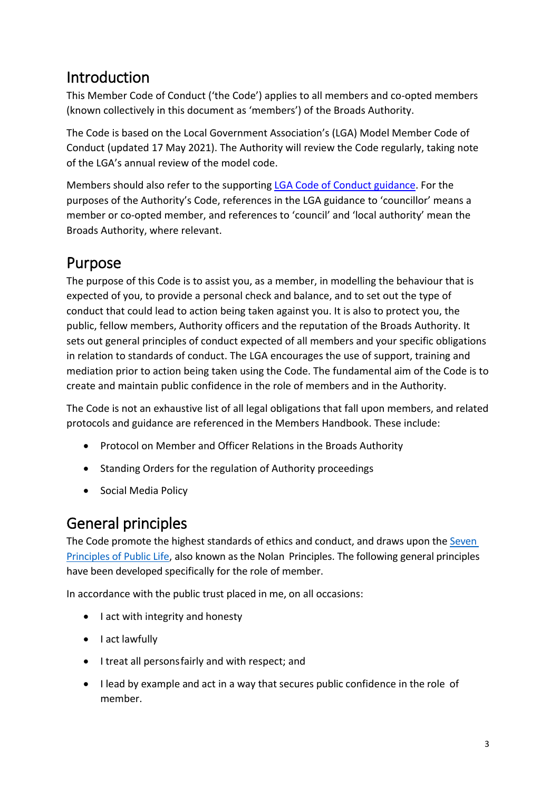## <span id="page-2-0"></span>Introduction

This Member Code of Conduct ('the Code') applies to all members and co-opted members (known collectively in this document as 'members') of the Broads Authority.

The Code is based on the Local Government Association's (LGA) Model Member Code of Conduct (updated 17 May 2021). The Authority will review the Code regularly, taking note of the LGA's annual review of the model code.

Members should also refer to the supporting [LGA Code of Conduct guidance.](https://www.local.gov.uk/publications/guidance-local-government-association-model-councillor-code-conduct) For the purposes of the Authority's Code, references in the LGA guidance to 'councillor' means a member or co-opted member, and references to 'council' and 'local authority' mean the Broads Authority, where relevant.

## <span id="page-2-1"></span>Purpose

The purpose of this Code is to assist you, as a member, in modelling the behaviour that is expected of you, to provide a personal check and balance, and to set out the type of conduct that could lead to action being taken against you. It is also to protect you, the public, fellow members, Authority officers and the reputation of the Broads Authority. It sets out general principles of conduct expected of all members and your specific obligations in relation to standards of conduct. The LGA encourages the use of support, training and mediation prior to action being taken using the Code. The fundamental aim of the Code is to create and maintain public confidence in the role of members and in the Authority.

The Code is not an exhaustive list of all legal obligations that fall upon members, and related protocols and guidance are referenced in the Members Handbook. These include:

- Protocol on Member and Officer Relations in the Broads Authority
- Standing Orders for the regulation of Authority proceedings
- Social Media Policy

## <span id="page-2-2"></span>General principles

The Code promote the highest standards of ethics and conduct, and draws upon the [Seven](https://www.gov.uk/government/publications/the-7-principles-of-public-life/the-7-principles-of-public-life--2) [Principles of](https://www.gov.uk/government/publications/the-7-principles-of-public-life/the-7-principles-of-public-life--2) Public Lif[e,](https://www.gov.uk/government/publications/the-7-principles-of-public-life/the-7-principles-of-public-life--2) also known asthe Nolan Principles. The following general principles have been developed specifically for the role of member.

In accordance with the public trust placed in me, on all occasions:

- I act with integrity and honesty
- I act lawfully
- I treat all personsfairly and with respect; and
- I lead by example and act in a way that secures public confidence in the role of member.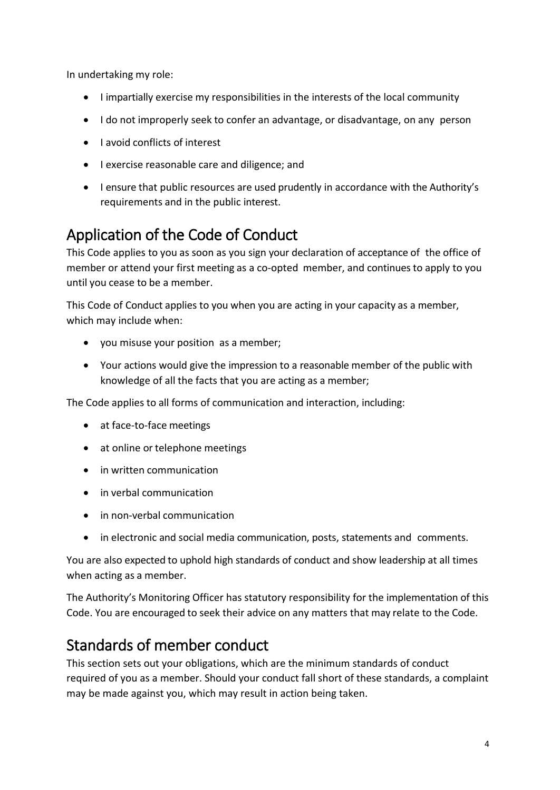In undertaking my role:

- I impartially exercise my responsibilities in the interests of the local community
- I do not improperly seek to confer an advantage, or disadvantage, on any person
- I avoid conflicts of interest
- I exercise reasonable care and diligence; and
- I ensure that public resources are used prudently in accordance with the Authority's requirements and in the public interest.

## <span id="page-3-0"></span>Application of the Code of Conduct

This Code applies to you as soon as you sign your declaration of acceptance of the office of member or attend your first meeting as a co-opted member, and continuesto apply to you until you cease to be a member.

This Code of Conduct applies to you when you are acting in your capacity as a member, which may include when:

- you misuse your position as a member;
- Your actions would give the impression to a reasonable member of the public with knowledge of all the facts that you are acting as a member;

The Code applies to all forms of communication and interaction, including:

- at face-to-face meetings
- at online or telephone meetings
- in written communication
- in verbal communication
- in non-verbal communication
- in electronic and social media communication, posts, statements and comments.

You are also expected to uphold high standards of conduct and show leadership at all times when acting as a member.

The Authority's Monitoring Officer has statutory responsibility for the implementation of this Code. You are encouraged to seek their advice on any matters that may relate to the Code.

## <span id="page-3-1"></span>Standards of member conduct

This section sets out your obligations, which are the minimum standards of conduct required of you as a member. Should your conduct fall short of these standards, a complaint may be made against you, which may result in action being taken.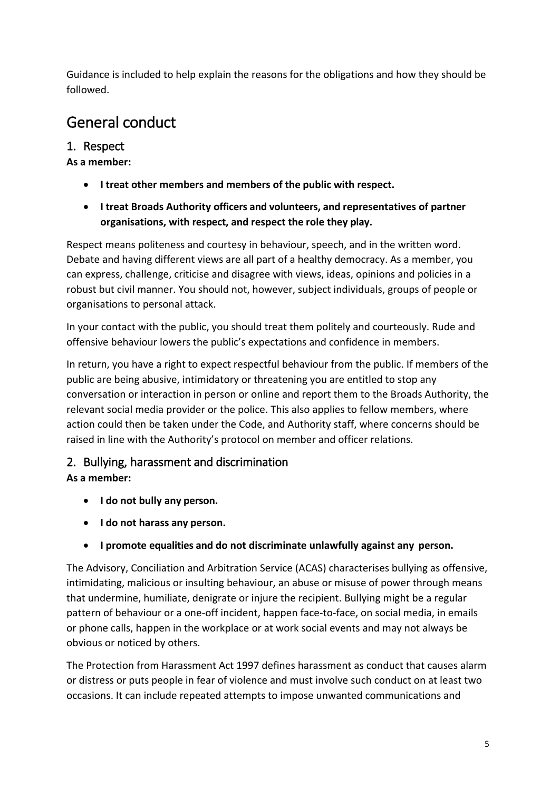Guidance is included to help explain the reasons for the obligations and how they should be followed.

## <span id="page-4-0"></span>General conduct

## <span id="page-4-1"></span>1. Respect

#### **As a member:**

- **I treat other members and members of the public with respect.**
- **I treat Broads Authority officers and volunteers, and representatives of partner organisations, with respect, and respect the role they play.**

Respect means politeness and courtesy in behaviour, speech, and in the written word. Debate and having different views are all part of a healthy democracy. As a member, you can express, challenge, criticise and disagree with views, ideas, opinions and policies in a robust but civil manner. You should not, however, subject individuals, groups of people or organisations to personal attack.

In your contact with the public, you should treat them politely and courteously. Rude and offensive behaviour lowers the public's expectations and confidence in members.

In return, you have a right to expect respectful behaviour from the public. If members of the public are being abusive, intimidatory or threatening you are entitled to stop any conversation or interaction in person or online and report them to the Broads Authority, the relevant social media provider or the police. This also applies to fellow members, where action could then be taken under the Code, and Authority staff, where concerns should be raised in line with the Authority's protocol on member and officer relations.

## <span id="page-4-2"></span>2. Bullying, harassment and discrimination

## **As a member:**

- **I do not bully any person.**
- **I do not harass any person.**
- **I promote equalities and do not discriminate unlawfully against any person.**

The Advisory, Conciliation and Arbitration Service (ACAS) characterises bullying as offensive, intimidating, malicious or insulting behaviour, an abuse or misuse of power through means that undermine, humiliate, denigrate or injure the recipient. Bullying might be a regular pattern of behaviour or a one-off incident, happen face-to-face, on social media, in emails or phone calls, happen in the workplace or at work social events and may not always be obvious or noticed by others.

The Protection from Harassment Act 1997 defines harassment as conduct that causes alarm or distress or puts people in fear of violence and must involve such conduct on at least two occasions. It can include repeated attempts to impose unwanted communications and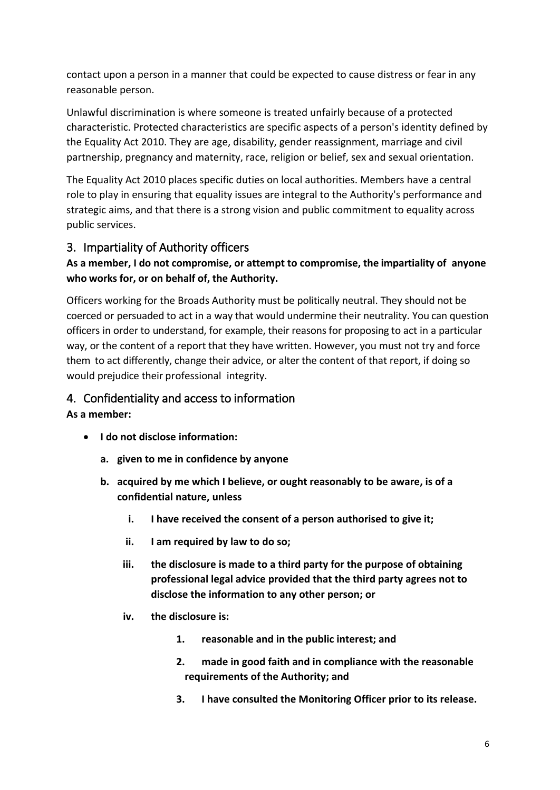contact upon a person in a manner that could be expected to cause distress or fear in any reasonable person.

Unlawful discrimination is where someone is treated unfairly because of a protected characteristic. Protected characteristics are specific aspects of a person's identity defined by the Equality Act 2010. They are age, disability, gender reassignment, marriage and civil partnership, pregnancy and maternity, race, religion or belief, sex and sexual orientation.

The Equality Act 2010 places specific duties on local authorities. Members have a central role to play in ensuring that equality issues are integral to the Authority's performance and strategic aims, and that there is a strong vision and public commitment to equality across public services.

## <span id="page-5-0"></span>3. Impartiality of Authority officers

#### **As a member, I do not compromise, or attempt to compromise, the impartiality of anyone who works for, or on behalf of, the Authority.**

Officers working for the Broads Authority must be politically neutral. They should not be coerced or persuaded to act in a way that would undermine their neutrality. You can question officers in order to understand, for example, their reasons for proposing to act in a particular way, or the content of a report that they have written. However, you must not try and force them to act differently, change their advice, or alter the content of that report, if doing so would prejudice their professional integrity.

#### <span id="page-5-1"></span>4. Confidentiality and access to information

#### **As a member:**

- **I do not disclose information:**
	- **a. given to me in confidence by anyone**
	- **b. acquired by me which I believe, or ought reasonably to be aware, is of a confidential nature, unless**
		- **i. I have received the consent of a person authorised to give it;**
		- **ii. I am required by law to do so;**
		- **iii. the disclosure is made to a third party for the purpose of obtaining professional legal advice provided that the third party agrees not to disclose the information to any other person; or**
		- **iv. the disclosure is:**
			- **1. reasonable and in the public interest; and**
			- **2. made in good faith and in compliance with the reasonable requirements of the Authority; and**
			- **3. I have consulted the Monitoring Officer prior to its release.**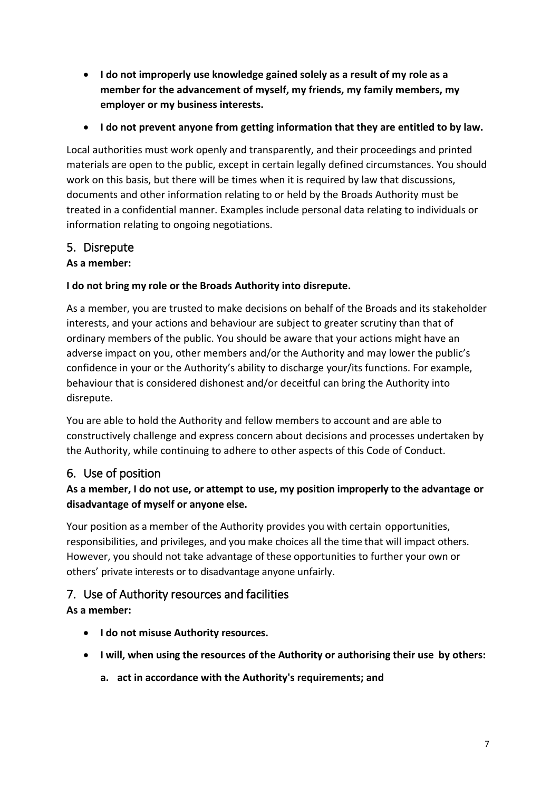- **I do not improperly use knowledge gained solely as a result of my role as a member for the advancement of myself, my friends, my family members, my employer or my business interests.**
- **I do not prevent anyone from getting information that they are entitled to by law.**

Local authorities must work openly and transparently, and their proceedings and printed materials are open to the public, except in certain legally defined circumstances. You should work on this basis, but there will be times when it is required by law that discussions, documents and other information relating to or held by the Broads Authority must be treated in a confidential manner. Examples include personal data relating to individuals or information relating to ongoing negotiations.

## <span id="page-6-0"></span>5. Disrepute

#### **As a member:**

### **I do not bring my role or the Broads Authority into disrepute.**

As a member, you are trusted to make decisions on behalf of the Broads and its stakeholder interests, and your actions and behaviour are subject to greater scrutiny than that of ordinary members of the public. You should be aware that your actions might have an adverse impact on you, other members and/or the Authority and may lower the public's confidence in your or the Authority's ability to discharge your/its functions. For example, behaviour that is considered dishonest and/or deceitful can bring the Authority into disrepute.

You are able to hold the Authority and fellow members to account and are able to constructively challenge and express concern about decisions and processes undertaken by the Authority, while continuing to adhere to other aspects of this Code of Conduct.

## <span id="page-6-1"></span>6. Use of position

### **As a member, I do not use, or attempt to use, my position improperly to the advantage or disadvantage of myself or anyone else.**

Your position as a member of the Authority provides you with certain opportunities, responsibilities, and privileges, and you make choices all the time that will impact others. However, you should not take advantage of these opportunities to further your own or others' private interests or to disadvantage anyone unfairly.

## <span id="page-6-2"></span>7. Use of Authority resources and facilities

#### **As a member:**

- **I do not misuse Authority resources.**
- **I will, when using the resources of the Authority or authorising their use by others:**
	- **a. act in accordance with the Authority's requirements; and**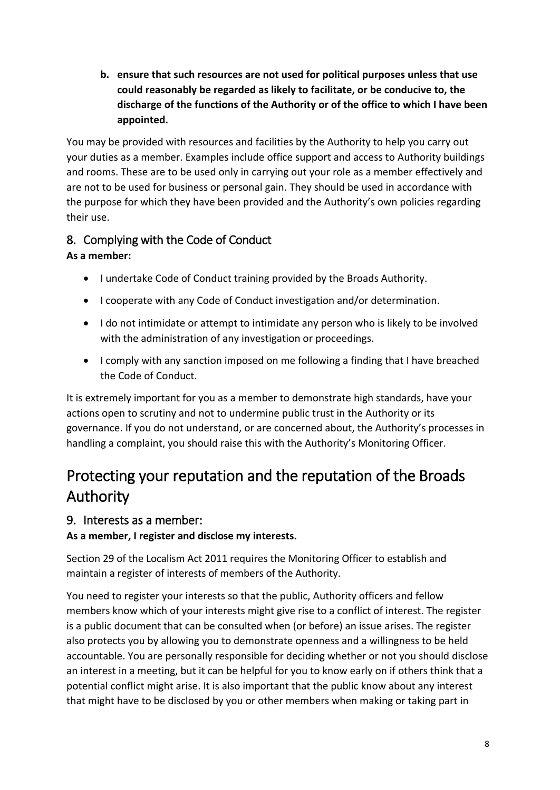**b. ensure that such resources are not used for political purposes unless that use could reasonably be regarded as likely to facilitate, or be conducive to, the discharge of the functions of the Authority or of the office to which I have been appointed.**

You may be provided with resources and facilities by the Authority to help you carry out your duties as a member. Examples include office support and access to Authority buildings and rooms. These are to be used only in carrying out your role as a member effectively and are not to be used for business or personal gain. They should be used in accordance with the purpose for which they have been provided and the Authority's own policies regarding their use.

## <span id="page-7-0"></span>8. Complying with the Code of Conduct

## **As a member:**

- I undertake Code of Conduct training provided by the Broads Authority.
- I cooperate with any Code of Conduct investigation and/or determination.
- I do not intimidate or attempt to intimidate any person who is likely to be involved with the administration of any investigation or proceedings.
- I comply with any sanction imposed on me following a finding that I have breached the Code of Conduct.

It is extremely important for you as a member to demonstrate high standards, have your actions open to scrutiny and not to undermine public trust in the Authority or its governance. If you do not understand, or are concerned about, the Authority's processes in handling a complaint, you should raise this with the Authority's Monitoring Officer.

## <span id="page-7-1"></span>Protecting your reputation and the reputation of the Broads Authority

## <span id="page-7-2"></span>9. Interests as a member:

## **As a member, I register and disclose my interests.**

Section 29 of the Localism Act 2011 requires the Monitoring Officer to establish and maintain a register of interests of members of the Authority.

You need to register your interests so that the public, Authority officers and fellow members know which of your interests might give rise to a conflict of interest. The register is a public document that can be consulted when (or before) an issue arises. The register also protects you by allowing you to demonstrate openness and a willingness to be held accountable. You are personally responsible for deciding whether or not you should disclose an interest in a meeting, but it can be helpful for you to know early on if others think that a potential conflict might arise. It is also important that the public know about any interest that might have to be disclosed by you or other members when making or taking part in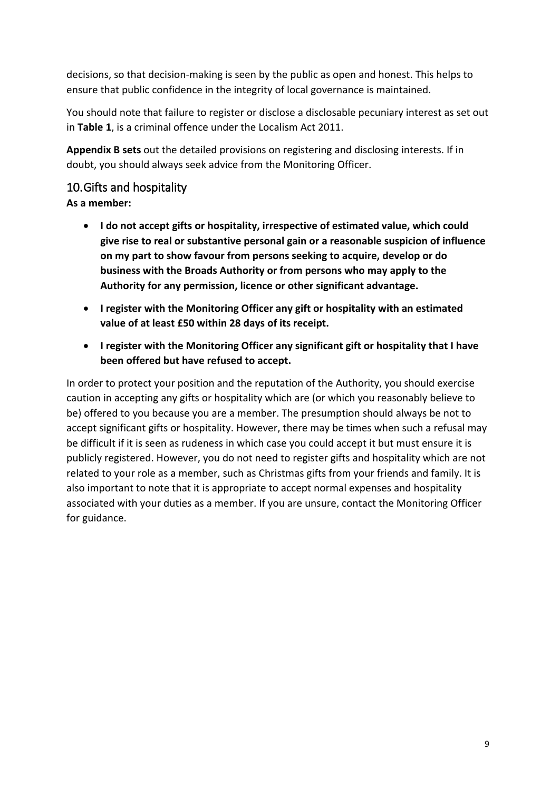decisions, so that decision-making is seen by the public as open and honest. This helps to ensure that public confidence in the integrity of local governance is maintained.

You should note that failure to register or disclose a disclosable pecuniary interest as set out in **Table 1**, is a criminal offence under the Localism Act 2011.

**Appendix B sets** out the detailed provisions on registering and disclosing interests. If in doubt, you should always seek advice from the Monitoring Officer.

## <span id="page-8-0"></span>10.Gifts and hospitality

**As a member:**

- **I do not accept gifts or hospitality, irrespective of estimated value, which could give rise to real or substantive personal gain or a reasonable suspicion of influence on my part to show favour from persons seeking to acquire, develop or do business with the Broads Authority or from persons who may apply to the Authority for any permission, licence or other significant advantage.**
- **I register with the Monitoring Officer any gift or hospitality with an estimated value of at least £50 within 28 days of its receipt.**
- **I register with the Monitoring Officer any significant gift or hospitality that I have been offered but have refused to accept.**

In order to protect your position and the reputation of the Authority, you should exercise caution in accepting any gifts or hospitality which are (or which you reasonably believe to be) offered to you because you are a member. The presumption should always be not to accept significant gifts or hospitality. However, there may be times when such a refusal may be difficult if it is seen as rudeness in which case you could accept it but must ensure it is publicly registered. However, you do not need to register gifts and hospitality which are not related to your role as a member, such as Christmas gifts from your friends and family. It is also important to note that it is appropriate to accept normal expenses and hospitality associated with your duties as a member. If you are unsure, contact the Monitoring Officer for guidance.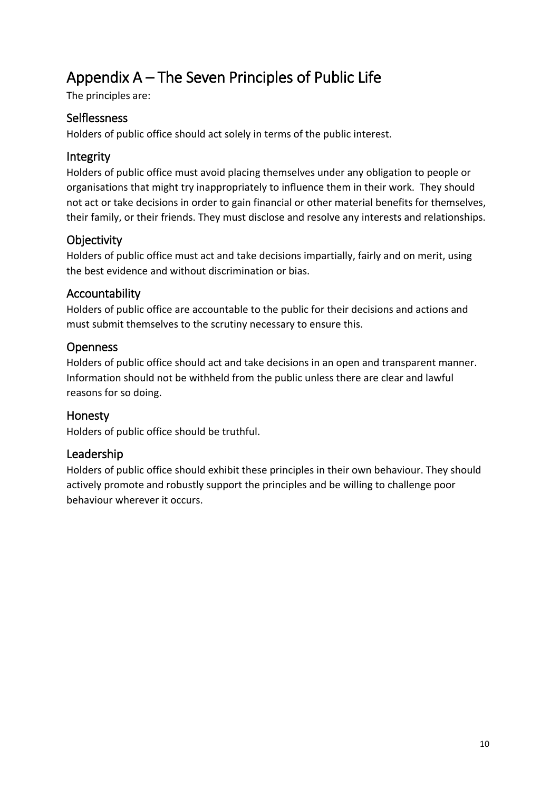## <span id="page-9-0"></span>Appendix A – The Seven Principles of Public Life

The principles are:

### <span id="page-9-1"></span>Selflessness

Holders of public office should act solely in terms of the public interest.

### <span id="page-9-2"></span>Integrity

Holders of public office must avoid placing themselves under any obligation to people or organisations that might try inappropriately to influence them in their work. They should not act or take decisions in order to gain financial or other material benefits for themselves, their family, or their friends. They must disclose and resolve any interests and relationships.

## <span id="page-9-3"></span>**Objectivity**

Holders of public office must act and take decisions impartially, fairly and on merit, using the best evidence and without discrimination or bias.

### <span id="page-9-4"></span>Accountability

Holders of public office are accountable to the public for their decisions and actions and must submit themselves to the scrutiny necessary to ensure this.

### <span id="page-9-5"></span>**Openness**

Holders of public office should act and take decisions in an open and transparent manner. Information should not be withheld from the public unless there are clear and lawful reasons for so doing.

## <span id="page-9-6"></span>Honesty

Holders of public office should be truthful.

## <span id="page-9-7"></span>Leadership

Holders of public office should exhibit these principles in their own behaviour. They should actively promote and robustly support the principles and be willing to challenge poor behaviour wherever it occurs.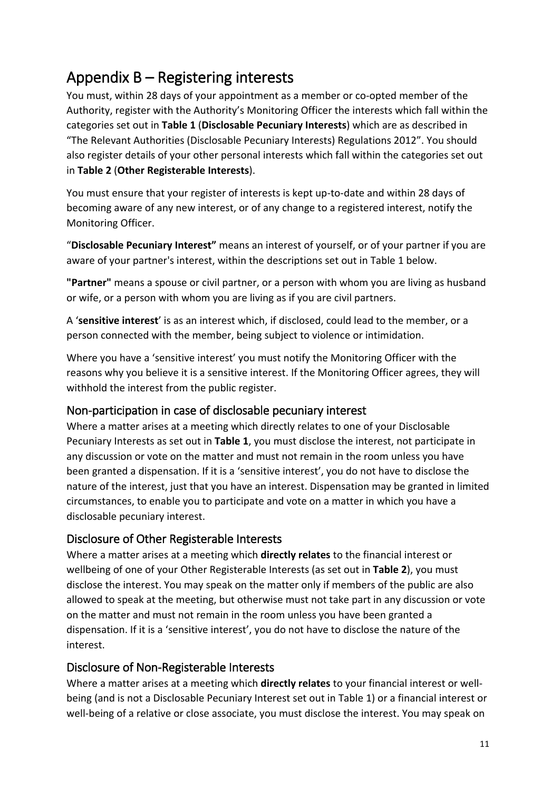## <span id="page-10-0"></span>Appendix B – Registering interests

You must, within 28 days of your appointment as a member or co-opted member of the Authority, register with the Authority's Monitoring Officer the interests which fall within the categories set out in **Table 1** (**Disclosable Pecuniary Interests**) which are as described in "The Relevant Authorities (Disclosable Pecuniary Interests) Regulations 2012". You should also register details of your other personal interests which fall within the categories set out in **Table 2** (**Other Registerable Interests**).

You must ensure that your register of interests is kept up-to-date and within 28 days of becoming aware of any new interest, or of any change to a registered interest, notify the Monitoring Officer.

"**Disclosable Pecuniary Interest"** means an interest of yourself, or of your partner if you are aware of your partner's interest, within the descriptions set out in Table 1 below.

**"Partner"** means a spouse or civil partner, or a person with whom you are living as husband or wife, or a person with whom you are living as if you are civil partners.

A '**sensitive interest**' is as an interest which, if disclosed, could lead to the member, or a person connected with the member, being subject to violence or intimidation.

Where you have a 'sensitive interest' you must notify the Monitoring Officer with the reasons why you believe it is a sensitive interest. If the Monitoring Officer agrees, they will withhold the interest from the public register.

## <span id="page-10-1"></span>Non-participation in case of disclosable pecuniary interest

Where a matter arises at a meeting which directly relates to one of your Disclosable Pecuniary Interests as set out in **Table 1**, you must disclose the interest, not participate in any discussion or vote on the matter and must not remain in the room unless you have been granted a dispensation. If it is a 'sensitive interest', you do not have to disclose the nature of the interest, just that you have an interest. Dispensation may be granted in limited circumstances, to enable you to participate and vote on a matter in which you have a disclosable pecuniary interest.

## <span id="page-10-2"></span>Disclosure of Other Registerable Interests

Where a matter arises at a meeting which **directly relates** to the financial interest or wellbeing of one of your Other Registerable Interests (as set out in **Table 2**), you must disclose the interest. You may speak on the matter only if members of the public are also allowed to speak at the meeting, but otherwise must not take part in any discussion or vote on the matter and must not remain in the room unless you have been granted a dispensation. If it is a 'sensitive interest', you do not have to disclose the nature of the interest.

## <span id="page-10-3"></span>Disclosure of Non-Registerable Interests

Where a matter arises at a meeting which **directly relates** to your financial interest or wellbeing (and is not a Disclosable Pecuniary Interest set out in Table 1) or a financial interest or well-being of a relative or close associate, you must disclose the interest. You may speak on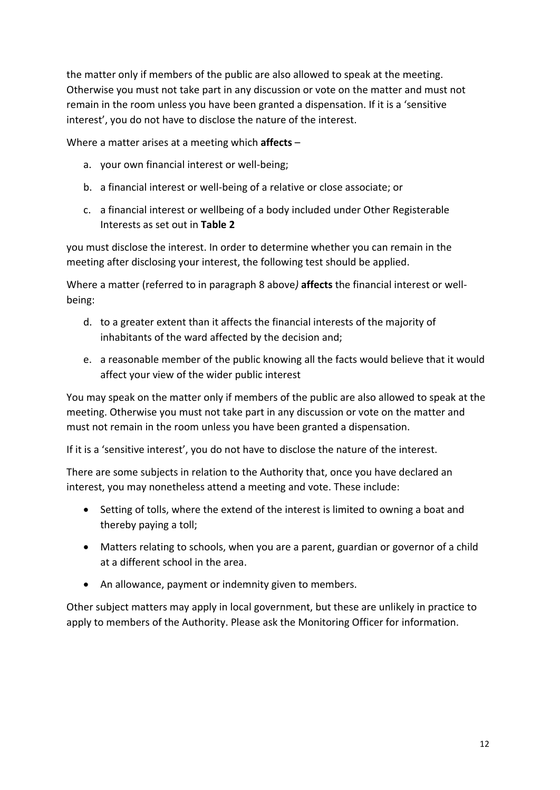the matter only if members of the public are also allowed to speak at the meeting. Otherwise you must not take part in any discussion or vote on the matter and must not remain in the room unless you have been granted a dispensation. If it is a 'sensitive interest', you do not have to disclose the nature of the interest.

Where a matter arises at a meeting which **affects** –

- a. your own financial interest or well-being;
- b. a financial interest or well-being of a relative or close associate; or
- c. a financial interest or wellbeing of a body included under Other Registerable Interests as set out in **Table 2**

you must disclose the interest. In order to determine whether you can remain in the meeting after disclosing your interest, the following test should be applied.

Where a matter (referred to in paragraph 8 above*)* **affects** the financial interest or wellbeing:

- d. to a greater extent than it affects the financial interests of the majority of inhabitants of the ward affected by the decision and;
- e. a reasonable member of the public knowing all the facts would believe that it would affect your view of the wider public interest

You may speak on the matter only if members of the public are also allowed to speak at the meeting. Otherwise you must not take part in any discussion or vote on the matter and must not remain in the room unless you have been granted a dispensation.

If it is a 'sensitive interest', you do not have to disclose the nature of the interest.

There are some subjects in relation to the Authority that, once you have declared an interest, you may nonetheless attend a meeting and vote. These include:

- Setting of tolls, where the extend of the interest is limited to owning a boat and thereby paying a toll;
- Matters relating to schools, when you are a parent, guardian or governor of a child at a different school in the area.
- An allowance, payment or indemnity given to members.

Other subject matters may apply in local government, but these are unlikely in practice to apply to members of the Authority. Please ask the Monitoring Officer for information.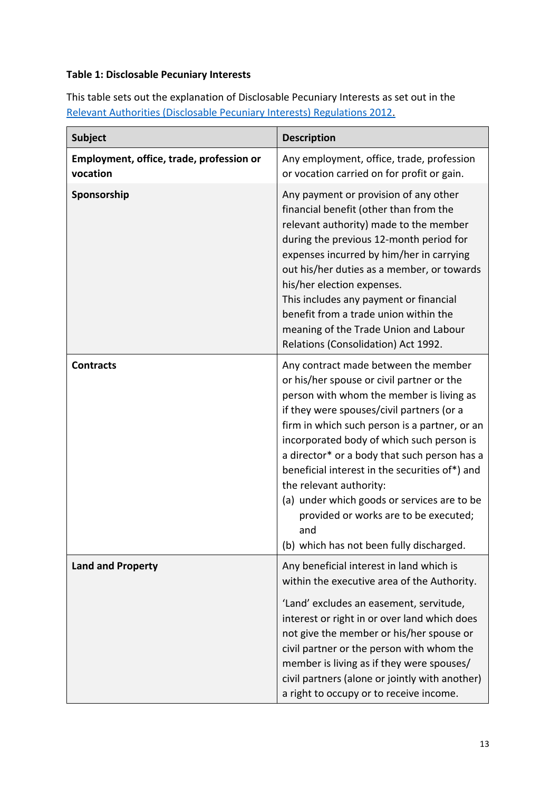#### **Table 1: Disclosable Pecuniary Interests**

This table sets out the explanation of Disclosable Pecuniary Interests as set out in the [Relevant Authorities \(Disclosable Pecuniary Interests\) Regulations 2012.](https://www.legislation.gov.uk/uksi/2012/1464/made)

| <b>Subject</b>                                       | <b>Description</b>                                                                                                                                                                                                                                                                                                                                                                                                                                                                                                                               |
|------------------------------------------------------|--------------------------------------------------------------------------------------------------------------------------------------------------------------------------------------------------------------------------------------------------------------------------------------------------------------------------------------------------------------------------------------------------------------------------------------------------------------------------------------------------------------------------------------------------|
| Employment, office, trade, profession or<br>vocation | Any employment, office, trade, profession<br>or vocation carried on for profit or gain.                                                                                                                                                                                                                                                                                                                                                                                                                                                          |
| Sponsorship                                          | Any payment or provision of any other<br>financial benefit (other than from the<br>relevant authority) made to the member<br>during the previous 12-month period for<br>expenses incurred by him/her in carrying<br>out his/her duties as a member, or towards<br>his/her election expenses.<br>This includes any payment or financial<br>benefit from a trade union within the<br>meaning of the Trade Union and Labour<br>Relations (Consolidation) Act 1992.                                                                                  |
| <b>Contracts</b>                                     | Any contract made between the member<br>or his/her spouse or civil partner or the<br>person with whom the member is living as<br>if they were spouses/civil partners (or a<br>firm in which such person is a partner, or an<br>incorporated body of which such person is<br>a director* or a body that such person has a<br>beneficial interest in the securities of*) and<br>the relevant authority:<br>(a) under which goods or services are to be<br>provided or works are to be executed;<br>and<br>(b) which has not been fully discharged. |
| <b>Land and Property</b>                             | Any beneficial interest in land which is<br>within the executive area of the Authority.<br>'Land' excludes an easement, servitude,<br>interest or right in or over land which does<br>not give the member or his/her spouse or<br>civil partner or the person with whom the<br>member is living as if they were spouses/<br>civil partners (alone or jointly with another)<br>a right to occupy or to receive income.                                                                                                                            |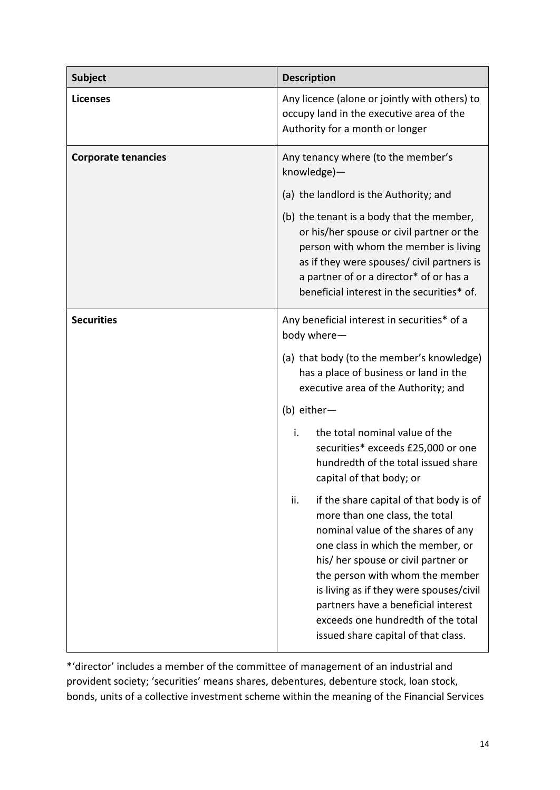| <b>Subject</b>             | <b>Description</b>                                                                                                                                                                                                                                                                                                                                                                                   |  |
|----------------------------|------------------------------------------------------------------------------------------------------------------------------------------------------------------------------------------------------------------------------------------------------------------------------------------------------------------------------------------------------------------------------------------------------|--|
| <b>Licenses</b>            | Any licence (alone or jointly with others) to<br>occupy land in the executive area of the<br>Authority for a month or longer                                                                                                                                                                                                                                                                         |  |
| <b>Corporate tenancies</b> | Any tenancy where (to the member's<br>knowledge)-                                                                                                                                                                                                                                                                                                                                                    |  |
|                            | (a) the landlord is the Authority; and                                                                                                                                                                                                                                                                                                                                                               |  |
|                            | (b) the tenant is a body that the member,<br>or his/her spouse or civil partner or the<br>person with whom the member is living<br>as if they were spouses/ civil partners is<br>a partner of or a director* of or has a<br>beneficial interest in the securities* of.                                                                                                                               |  |
| <b>Securities</b>          | Any beneficial interest in securities* of a<br>body where-                                                                                                                                                                                                                                                                                                                                           |  |
|                            | (a) that body (to the member's knowledge)<br>has a place of business or land in the<br>executive area of the Authority; and                                                                                                                                                                                                                                                                          |  |
|                            | (b) either-                                                                                                                                                                                                                                                                                                                                                                                          |  |
|                            | i.<br>the total nominal value of the<br>securities* exceeds £25,000 or one<br>hundredth of the total issued share<br>capital of that body; or                                                                                                                                                                                                                                                        |  |
|                            | if the share capital of that body is of<br>ii.<br>more than one class, the total<br>nominal value of the shares of any<br>one class in which the member, or<br>his/ her spouse or civil partner or<br>the person with whom the member<br>is living as if they were spouses/civil<br>partners have a beneficial interest<br>exceeds one hundredth of the total<br>issued share capital of that class. |  |

\*'director' includes a member of the committee of management of an industrial and provident society; 'securities' means shares, debentures, debenture stock, loan stock, bonds, units of a collective investment scheme within the meaning of the Financial Services